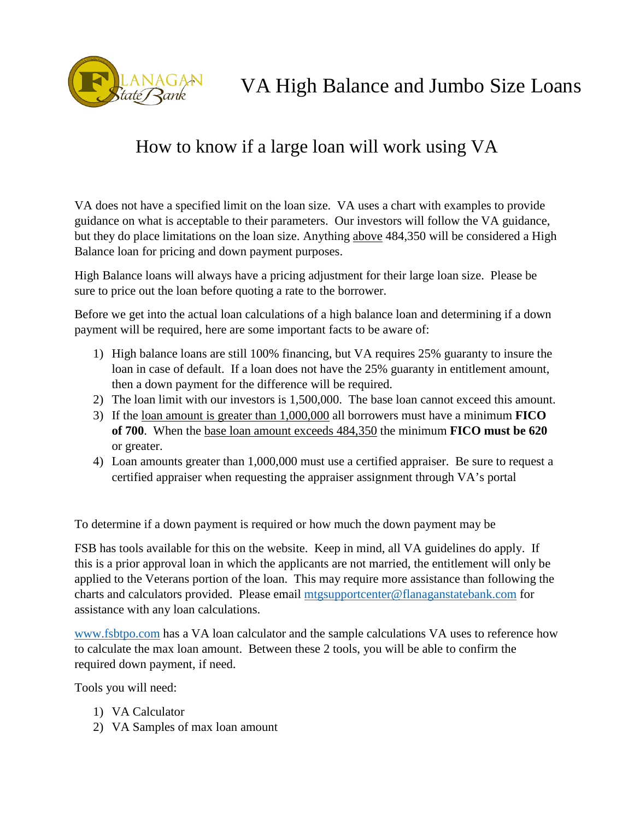

## How to know if a large loan will work using VA

VA does not have a specified limit on the loan size. VA uses a chart with examples to provide guidance on what is acceptable to their parameters. Our investors will follow the VA guidance, but they do place limitations on the loan size. Anything above 484,350 will be considered a High Balance loan for pricing and down payment purposes.

High Balance loans will always have a pricing adjustment for their large loan size. Please be sure to price out the loan before quoting a rate to the borrower.

Before we get into the actual loan calculations of a high balance loan and determining if a down payment will be required, here are some important facts to be aware of:

- 1) High balance loans are still 100% financing, but VA requires 25% guaranty to insure the loan in case of default. If a loan does not have the 25% guaranty in entitlement amount, then a down payment for the difference will be required.
- 2) The loan limit with our investors is 1,500,000. The base loan cannot exceed this amount.
- 3) If the loan amount is greater than 1,000,000 all borrowers must have a minimum **FICO of 700**. When the base loan amount exceeds 484,350 the minimum **FICO must be 620** or greater.
- 4) Loan amounts greater than 1,000,000 must use a certified appraiser. Be sure to request a certified appraiser when requesting the appraiser assignment through VA's portal

To determine if a down payment is required or how much the down payment may be

FSB has tools available for this on the website. Keep in mind, all VA guidelines do apply. If this is a prior approval loan in which the applicants are not married, the entitlement will only be applied to the Veterans portion of the loan. This may require more assistance than following the charts and calculators provided. Please email [mtgsupportcenter@flanaganstatebank.com](mailto:mtgsupportcenter@flanaganstatebank.com) for assistance with any loan calculations.

[www.fsbtpo.com](http://www.fsbtpo.com/) has a VA loan calculator and the sample calculations VA uses to reference how to calculate the max loan amount. Between these 2 tools, you will be able to confirm the required down payment, if need.

Tools you will need:

- 1) VA Calculator
- 2) VA Samples of max loan amount